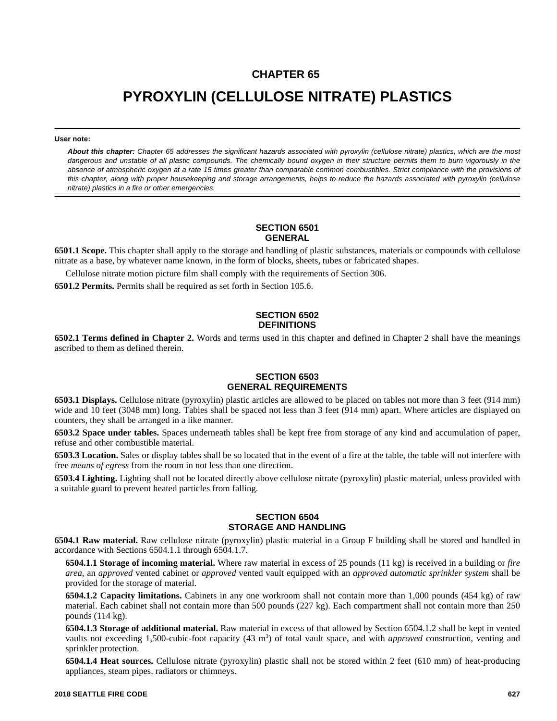# **CHAPTER 65**

# **PYROXYLIN (CELLULOSE NITRATE) PLASTICS**

**User note:**

*About this chapter: Chapter 65 addresses the significant hazards associated with pyroxylin (cellulose nitrate) plastics, which are the most dangerous and unstable of all plastic compounds. The chemically bound oxygen in their structure permits them to burn vigorously in the absence of atmospheric oxygen at a rate 15 times greater than comparable common combustibles. Strict compliance with the provisions of this chapter, along with proper housekeeping and storage arrangements, helps to reduce the hazards associated with pyroxylin (cellulose nitrate) plastics in a fire or other emergencies.*

#### **SECTION 6501 GENERAL**

**6501.1 Scope.** This chapter shall apply to the storage and handling of plastic substances, materials or compounds with cellulose nitrate as a base, by whatever name known, in the form of blocks, sheets, tubes or fabricated shapes.

Cellulose nitrate motion picture film shall comply with the requirements of Section 306.

**6501.2 Permits.** Permits shall be required as set forth in Section 105.6.

#### **SECTION 6502 DEFINITIONS**

**6502.1 Terms defined in Chapter 2.** Words and terms used in this chapter and defined in Chapter 2 shall have the meanings ascribed to them as defined therein.

## **SECTION 6503 GENERAL REQUIREMENTS**

**6503.1 Displays.** Cellulose nitrate (pyroxylin) plastic articles are allowed to be placed on tables not more than 3 feet (914 mm) wide and 10 feet (3048 mm) long. Tables shall be spaced not less than 3 feet (914 mm) apart. Where articles are displayed on counters, they shall be arranged in a like manner.

**6503.2 Space under tables.** Spaces underneath tables shall be kept free from storage of any kind and accumulation of paper, refuse and other combustible material.

**6503.3 Location.** Sales or display tables shall be so located that in the event of a fire at the table, the table will not interfere with free *means of egress* from the room in not less than one direction.

**6503.4 Lighting.** Lighting shall not be located directly above cellulose nitrate (pyroxylin) plastic material, unless provided with a suitable guard to prevent heated particles from falling.

## **SECTION 6504 STORAGE AND HANDLING**

**6504.1 Raw material.** Raw cellulose nitrate (pyroxylin) plastic material in a Group F building shall be stored and handled in accordance with Sections 6504.1.1 through 6504.1.7.

**6504.1.1 Storage of incoming material.** Where raw material in excess of 25 pounds (11 kg) is received in a building or *fire area*, an *approved* vented cabinet or *approved* vented vault equipped with an *approved automatic sprinkler system* shall be provided for the storage of material.

**6504.1.2 Capacity limitations.** Cabinets in any one workroom shall not contain more than 1,000 pounds (454 kg) of raw material. Each cabinet shall not contain more than 500 pounds (227 kg). Each compartment shall not contain more than 250 pounds (114 kg).

**6504.1.3 Storage of additional material.** Raw material in excess of that allowed by Section 6504.1.2 shall be kept in vented vaults not exceeding 1,500-cubic-foot capacity (43 m<sup>3</sup>) of total vault space, and with *approved* construction, venting and sprinkler protection.

**6504.1.4 Heat sources.** Cellulose nitrate (pyroxylin) plastic shall not be stored within 2 feet (610 mm) of heat-producing appliances, steam pipes, radiators or chimneys.